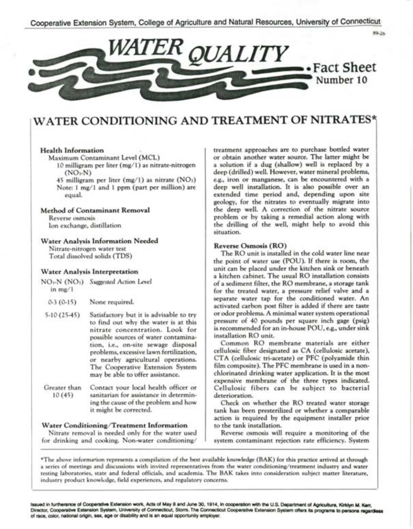



# WATER CONDITIONING AND TREATMENT OF NITRATES\*

# Health Information

Maximum Contaminant Level (MCL)

- 10 milligram per liter (mg/1) as nitrate-nitrogen  $(NO<sub>1</sub>N)$
- 45 milligram per liter  $(mg/1)$  as nitrate  $(NO<sub>1</sub>)$ Note: 1 mg/1 and 1 ppm (part per million) are equal.

### Method of Contaminant Removal

Reverse osmosis Ion exchange, distillation

## Water Analysis Information Needed

Nitrate.nitrogen water test Total dissolved solids (TDS)

# Water Analysis Interpretation

- NO<sub>v</sub>N (NO<sub>1</sub>) Suggested Action Level in  $mg/1$ 
	- $0.3(0.15)$ None required.
- 5·10 (25-45) Satisfactory but it is advisable to try to find out why the water is at this nitrate concentration. Look for possible sources of water contamina· tion, i.e., on-site sewage disposal problems, excessive lawn fertilization, or nearby agricultural operations. The Cooperative Extension System may be able to offer assistance.
- Greater than 10 (45) Contact your local health officer or sanitarian for assistance in determin. ing the cause of the problem and how it might be corrected.

### Water Conditioning/Treatment Information

Nitrate removal is needed only for the water used for drinking and cooking. Non-water conditioning/ treatment approaches are to purchase bottled water or obtain another water source. The latter might be a solution if a dug (shallow) well is replaced by a deep (drilled) well. However, water mineral problems. e.g., iron or manganese, can be encountered with a deep well installation. It is also possible over an extended time period and. depending upon site geology, for the nitrates to eventually migrate into the deep well. A correction of the nitrate source problem or by taking a remedial action along with the drilling of the well, might help to avoid this situation.

# Reverse Osmosis (RO)

The RO unit is installed in the cold water line near the point of water use (POU). If there is room, the unit can be placed under the kitchen sink or beneath a kitchen cabinet. The usual RO installation consists of a sediment filter, the RO membrane. a storage tank for the treated water, a pressure relief valve and a separate water tap for the conditioned water. An activated carbon post filter is added if there are taste or odor problems. A minimal water system operational pressure of 40 pounds per square inch gage (psig) is recommended for an in.house POU, e.g., under sink installation RO unit.

Common RO membrane materials are either cellulosic fiber designated as CA (cellulosic acetate), CT A (cellulosic tri.acetate) or PFC (polyamide thin film composite). The PFC membrane is used in a non· chlorinated drinking water application. It is the most expensive membrane of the three types indicated. Cellulosic fibers can be subject to bacterial deterioration.

Check on whether the RO treated water storage tank has been presterilized or whether a comparable action is required by the equipment installer prior to the tank installation.

Reverse osmosis will require a monitoring of the system contaminant rejection rate efficiency. System

\*The above information represents a compilation of the best available knowledge (BAK) for this practice arrived at through a series of meetings and discussions with invited representatives from the water conditioning/treatment industry and water testing laboratories, state and federal officials, and academia. The BAK takes into consideration subject matter literature, industry product knowledge, field experiences, and regulatory concerns.

lssued in furtherance of Cooperative Extension work. Acts of May 8 and June 30, 1914, in cooperation with the U.S. Department of Agriculture, Kirklyn M. Kent. Director, Cooperative Extension System, University of Connecticut, Storrs. The Connecticut Cooperative Extension System offers its programs to persons regardless of race, color, national origin, sex, age or disability and is an equal opportunity employer.